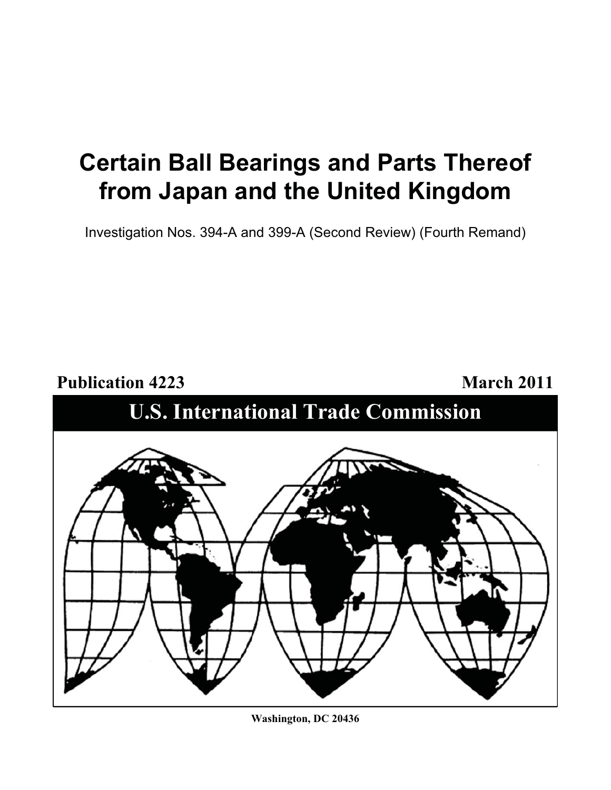# **Certain Ball Bearings and Parts Thereof from Japan and the United Kingdom**

Investigation Nos. 394-A and 399-A (Second Review) (Fourth Remand)



**Washington, DC 20436**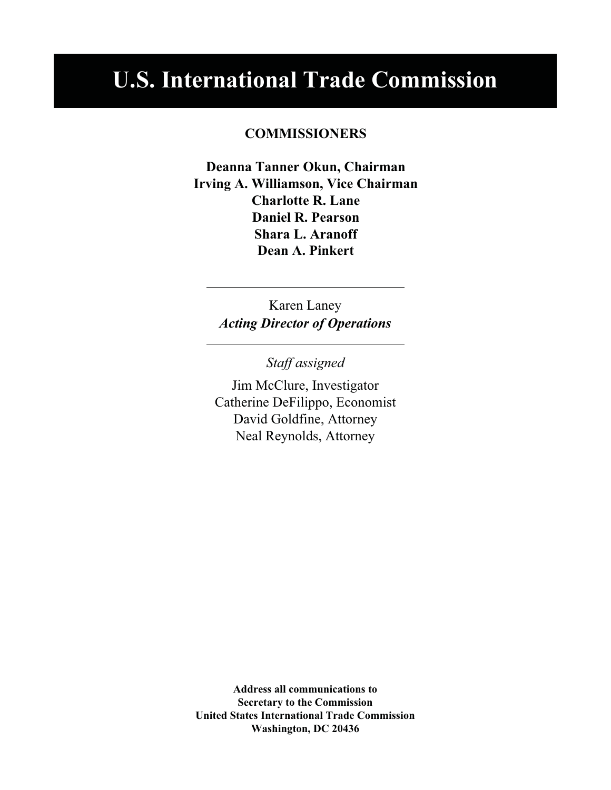# **U.S. International Trade Commission**

## **COMMISSIONERS**

**Deanna Tanner Okun, Chairman Irving A. Williamson, Vice Chairman Charlotte R. Lane Daniel R. Pearson Shara L. Aranoff Dean A. Pinkert**

> Karen Laney *Acting Director of Operations*

> > *Staff assigned*

Jim McClure, Investigator Catherine DeFilippo, Economist David Goldfine, Attorney Neal Reynolds, Attorney

**Address all communications to Secretary to the Commission United States International Trade Commission Washington, DC 20436**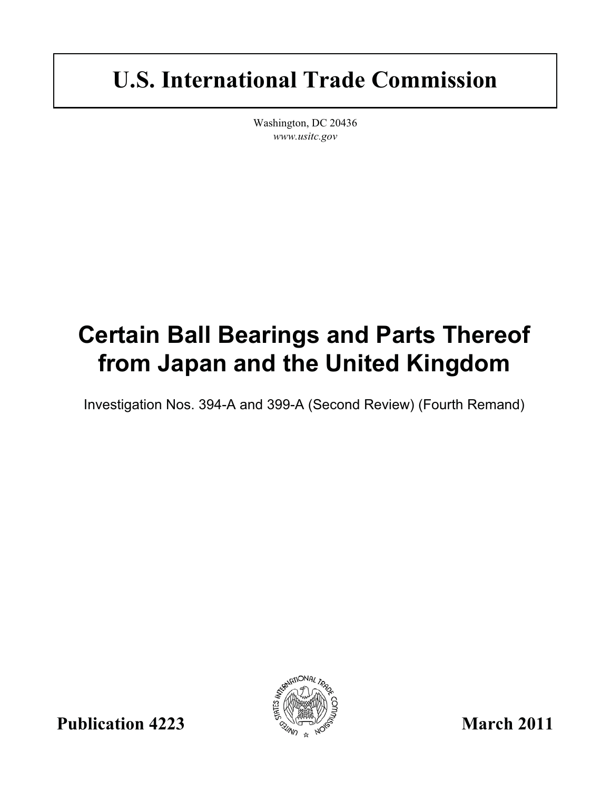# **U.S. International Trade Commission**

Washington, DC 20436 *www.usitc.gov*

# **Certain Ball Bearings and Parts Thereof from Japan and the United Kingdom**

Investigation Nos. 394-A and 399-A (Second Review) (Fourth Remand)



**Publication 4223** March 2011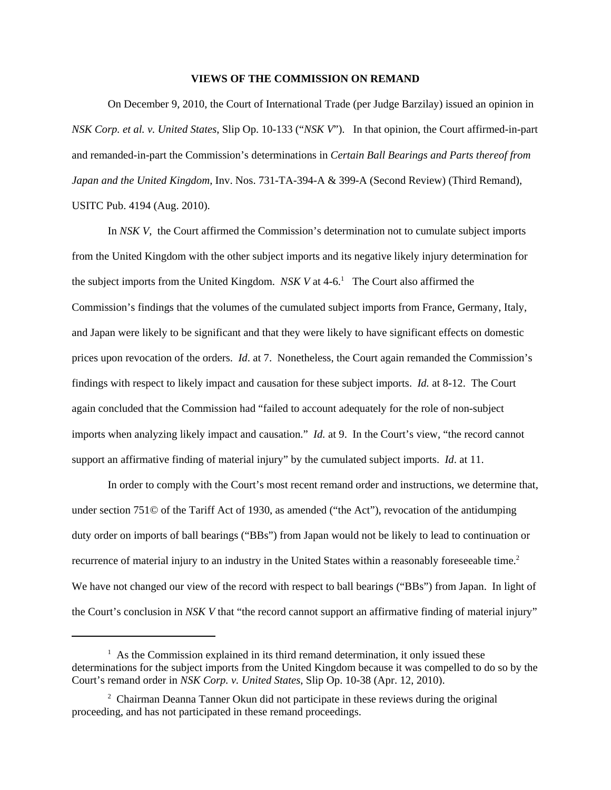#### **VIEWS OF THE COMMISSION ON REMAND**

On December 9, 2010, the Court of International Trade (per Judge Barzilay) issued an opinion in *NSK Corp. et al. v. United States*, Slip Op. 10-133 ("*NSK V*"). In that opinion, the Court affirmed-in-part and remanded-in-part the Commission's determinations in *Certain Ball Bearings and Parts thereof from Japan and the United Kingdom*, Inv. Nos. 731-TA-394-A & 399-A (Second Review) (Third Remand), USITC Pub. 4194 (Aug. 2010).

In *NSK V*, the Court affirmed the Commission's determination not to cumulate subject imports from the United Kingdom with the other subject imports and its negative likely injury determination for the subject imports from the United Kingdom.  $NSK$  V at  $4-6$ .<sup>1</sup> The Court also affirmed the Commission's findings that the volumes of the cumulated subject imports from France, Germany, Italy, and Japan were likely to be significant and that they were likely to have significant effects on domestic prices upon revocation of the orders. *Id*. at 7. Nonetheless, the Court again remanded the Commission's findings with respect to likely impact and causation for these subject imports. *Id.* at 8-12. The Court again concluded that the Commission had "failed to account adequately for the role of non-subject imports when analyzing likely impact and causation." *Id.* at 9. In the Court's view, "the record cannot support an affirmative finding of material injury" by the cumulated subject imports. *Id*. at 11.

In order to comply with the Court's most recent remand order and instructions, we determine that, under section 751 $\odot$  of the Tariff Act of 1930, as amended ("the Act"), revocation of the antidumping duty order on imports of ball bearings ("BBs") from Japan would not be likely to lead to continuation or recurrence of material injury to an industry in the United States within a reasonably foreseeable time.<sup>2</sup> We have not changed our view of the record with respect to ball bearings ("BBs") from Japan. In light of the Court's conclusion in *NSK V* that "the record cannot support an affirmative finding of material injury"

 $<sup>1</sup>$  As the Commission explained in its third remand determination, it only issued these</sup> determinations for the subject imports from the United Kingdom because it was compelled to do so by the Court's remand order in *NSK Corp. v. United States*, Slip Op. 10-38 (Apr. 12, 2010).

<sup>&</sup>lt;sup>2</sup> Chairman Deanna Tanner Okun did not participate in these reviews during the original proceeding, and has not participated in these remand proceedings.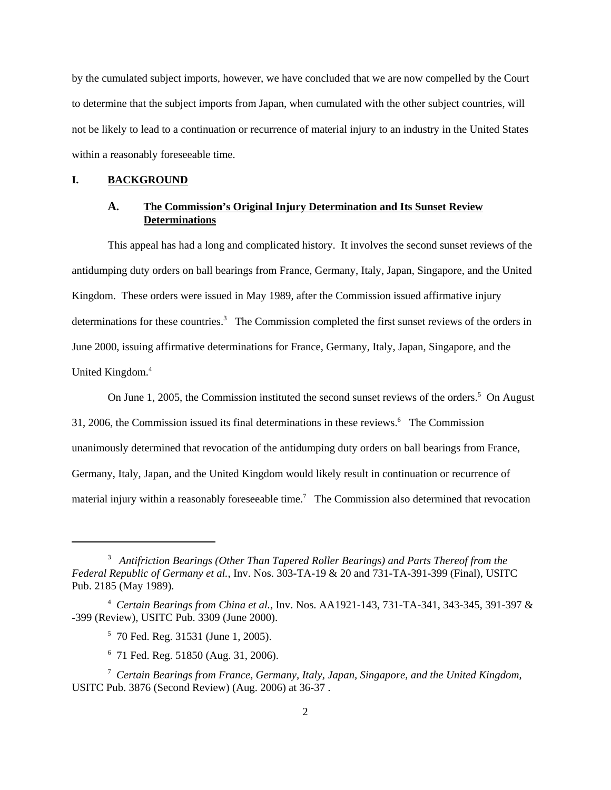by the cumulated subject imports, however, we have concluded that we are now compelled by the Court to determine that the subject imports from Japan, when cumulated with the other subject countries, will not be likely to lead to a continuation or recurrence of material injury to an industry in the United States within a reasonably foreseeable time.

#### **I. BACKGROUND**

### **A. The Commission's Original Injury Determination and Its Sunset Review Determinations**

This appeal has had a long and complicated history. It involves the second sunset reviews of the antidumping duty orders on ball bearings from France, Germany, Italy, Japan, Singapore, and the United Kingdom. These orders were issued in May 1989, after the Commission issued affirmative injury determinations for these countries.<sup>3</sup> The Commission completed the first sunset reviews of the orders in June 2000, issuing affirmative determinations for France, Germany, Italy, Japan, Singapore, and the United Kingdom.<sup>4</sup>

On June 1, 2005, the Commission instituted the second sunset reviews of the orders.<sup>5</sup> On August 31, 2006, the Commission issued its final determinations in these reviews.<sup>6</sup> The Commission unanimously determined that revocation of the antidumping duty orders on ball bearings from France, Germany, Italy, Japan, and the United Kingdom would likely result in continuation or recurrence of material injury within a reasonably foreseeable time.<sup>7</sup> The Commission also determined that revocation

<sup>3</sup> *Antifriction Bearings (Other Than Tapered Roller Bearings) and Parts Thereof from the Federal Republic of Germany et al.*, Inv. Nos. 303-TA-19 & 20 and 731-TA-391-399 (Final), USITC Pub. 2185 (May 1989).

<sup>4</sup> *Certain Bearings from China et al.*, Inv. Nos. AA1921-143, 731-TA-341, 343-345, 391-397 & -399 (Review), USITC Pub. 3309 (June 2000).

<sup>5</sup> 70 Fed. Reg. 31531 (June 1, 2005).

<sup>6</sup> 71 Fed. Reg. 51850 (Aug. 31, 2006).

<sup>7</sup> *Certain Bearings from France, Germany, Italy, Japan, Singapore, and the United Kingdom*, USITC Pub. 3876 (Second Review) (Aug. 2006) at 36-37 .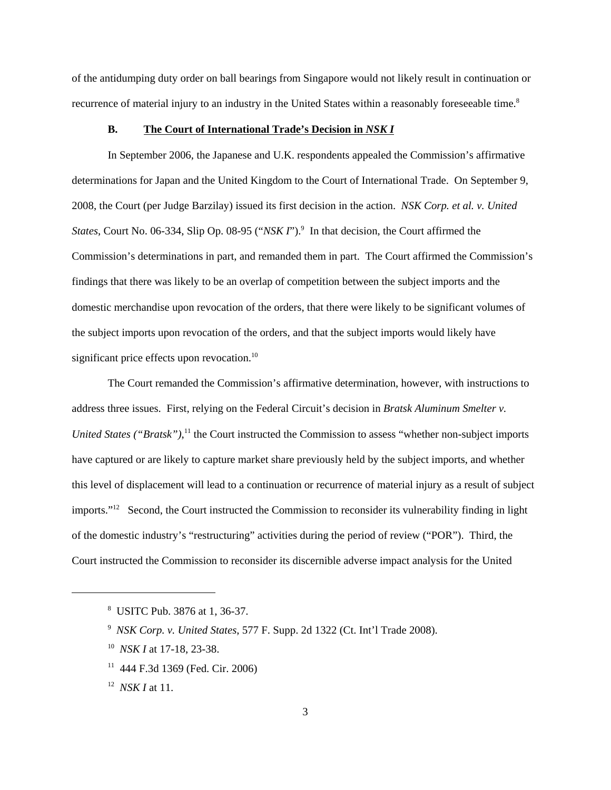of the antidumping duty order on ball bearings from Singapore would not likely result in continuation or recurrence of material injury to an industry in the United States within a reasonably foreseeable time.<sup>8</sup>

#### **B. The Court of International Trade's Decision in** *NSK I*

In September 2006, the Japanese and U.K. respondents appealed the Commission's affirmative determinations for Japan and the United Kingdom to the Court of International Trade. On September 9, 2008, the Court (per Judge Barzilay) issued its first decision in the action. *NSK Corp. et al. v. United* States, Court No. 06-334, Slip Op. 08-95 ("*NSK I*").<sup>9</sup> In that decision, the Court affirmed the Commission's determinations in part, and remanded them in part. The Court affirmed the Commission's findings that there was likely to be an overlap of competition between the subject imports and the domestic merchandise upon revocation of the orders, that there were likely to be significant volumes of the subject imports upon revocation of the orders, and that the subject imports would likely have significant price effects upon revocation.<sup>10</sup>

The Court remanded the Commission's affirmative determination, however, with instructions to address three issues. First, relying on the Federal Circuit's decision in *Bratsk Aluminum Smelter v.* United States ("Bratsk"),<sup>11</sup> the Court instructed the Commission to assess "whether non-subject imports have captured or are likely to capture market share previously held by the subject imports, and whether this level of displacement will lead to a continuation or recurrence of material injury as a result of subject imports."12 Second, the Court instructed the Commission to reconsider its vulnerability finding in light of the domestic industry's "restructuring" activities during the period of review ("POR"). Third, the Court instructed the Commission to reconsider its discernible adverse impact analysis for the United

<sup>8</sup> USITC Pub. 3876 at 1, 36-37.

<sup>9</sup> *NSK Corp. v. United States*, 577 F. Supp. 2d 1322 (Ct. Int'l Trade 2008).

<sup>10</sup> *NSK I* at 17-18, 23-38.

<sup>11 444</sup> F.3d 1369 (Fed. Cir. 2006)

<sup>12</sup> *NSK I* at 11.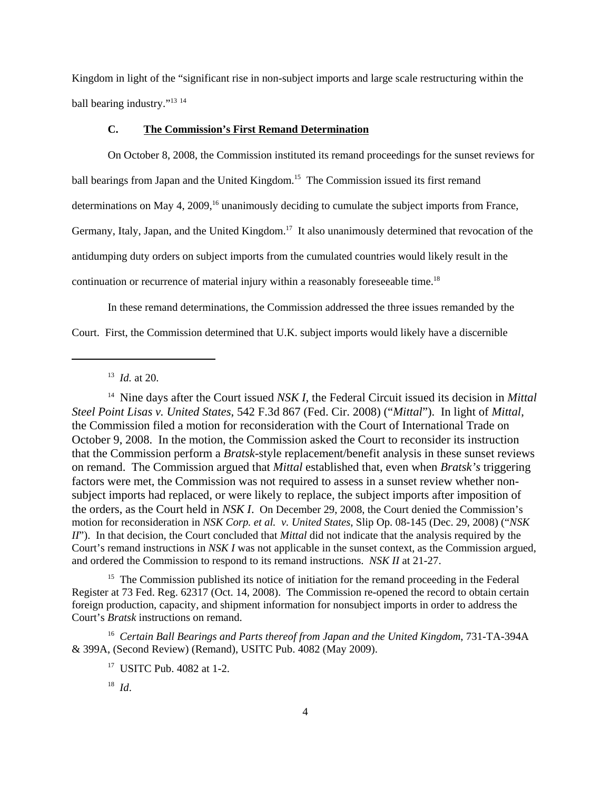Kingdom in light of the "significant rise in non-subject imports and large scale restructuring within the ball bearing industry."13 <sup>14</sup>

#### **C. The Commission's First Remand Determination**

On October 8, 2008, the Commission instituted its remand proceedings for the sunset reviews for ball bearings from Japan and the United Kingdom.<sup>15</sup> The Commission issued its first remand determinations on May 4, 2009,<sup>16</sup> unanimously deciding to cumulate the subject imports from France, Germany, Italy, Japan, and the United Kingdom.<sup>17</sup> It also unanimously determined that revocation of the antidumping duty orders on subject imports from the cumulated countries would likely result in the continuation or recurrence of material injury within a reasonably foreseeable time.<sup>18</sup>

In these remand determinations, the Commission addressed the three issues remanded by the Court. First, the Commission determined that U.K. subject imports would likely have a discernible

14 Nine days after the Court issued *NSK I*, the Federal Circuit issued its decision in *Mittal Steel Point Lisas v. United States*, 542 F.3d 867 (Fed. Cir. 2008) ("*Mittal*"). In light of *Mittal*, the Commission filed a motion for reconsideration with the Court of International Trade on October 9, 2008. In the motion, the Commission asked the Court to reconsider its instruction that the Commission perform a *Bratsk*-style replacement/benefit analysis in these sunset reviews on remand. The Commission argued that *Mittal* established that, even when *Bratsk's* triggering factors were met, the Commission was not required to assess in a sunset review whether nonsubject imports had replaced, or were likely to replace, the subject imports after imposition of the orders, as the Court held in *NSK I*. On December 29, 2008, the Court denied the Commission's motion for reconsideration in *NSK Corp. et al. v. United States*, Slip Op. 08-145 (Dec. 29, 2008) ("*NSK II*"). In that decision, the Court concluded that *Mittal* did not indicate that the analysis required by the Court's remand instructions in *NSK I* was not applicable in the sunset context, as the Commission argued, and ordered the Commission to respond to its remand instructions. *NSK II* at 21-27.

<sup>15</sup> The Commission published its notice of initiation for the remand proceeding in the Federal Register at 73 Fed. Reg. 62317 (Oct. 14, 2008). The Commission re-opened the record to obtain certain foreign production, capacity, and shipment information for nonsubject imports in order to address the Court's *Bratsk* instructions on remand.

<sup>16</sup> Certain Ball Bearings and Parts thereof from Japan and the United Kingdom, 731-TA-394A & 399A, (Second Review) (Remand), USITC Pub. 4082 (May 2009).

<sup>13</sup> *Id.* at 20.

<sup>17</sup> USITC Pub. 4082 at 1-2.

<sup>18</sup> *Id*.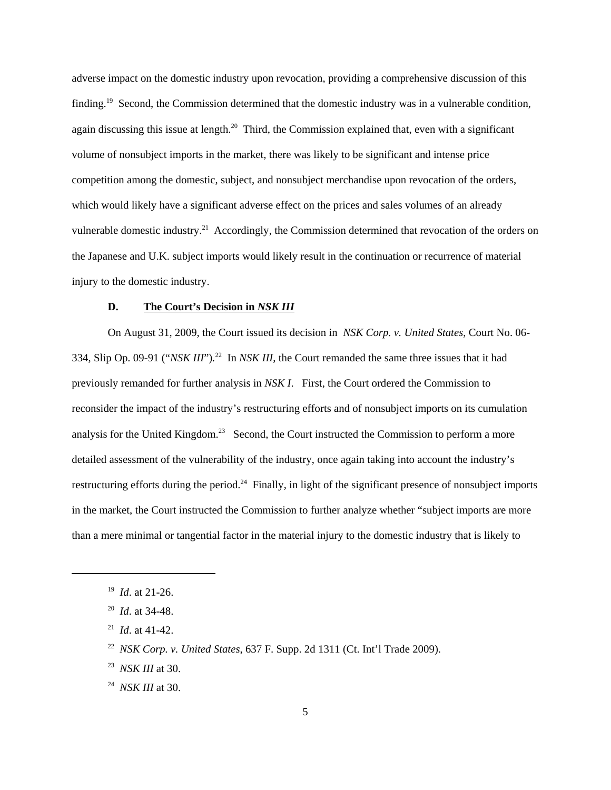adverse impact on the domestic industry upon revocation, providing a comprehensive discussion of this finding.19 Second, the Commission determined that the domestic industry was in a vulnerable condition, again discussing this issue at length.<sup>20</sup> Third, the Commission explained that, even with a significant volume of nonsubject imports in the market, there was likely to be significant and intense price competition among the domestic, subject, and nonsubject merchandise upon revocation of the orders, which would likely have a significant adverse effect on the prices and sales volumes of an already vulnerable domestic industry.<sup>21</sup> Accordingly, the Commission determined that revocation of the orders on the Japanese and U.K. subject imports would likely result in the continuation or recurrence of material injury to the domestic industry.

#### **D. The Court's Decision in** *NSK III*

 On August 31, 2009, the Court issued its decision in *NSK Corp. v. United States*, Court No. 06- 334, Slip Op. 09-91 ("*NSK III*")*.* <sup>22</sup>In *NSK III*, the Court remanded the same three issues that it had previously remanded for further analysis in *NSK I*. First, the Court ordered the Commission to reconsider the impact of the industry's restructuring efforts and of nonsubject imports on its cumulation analysis for the United Kingdom.<sup>23</sup> Second, the Court instructed the Commission to perform a more detailed assessment of the vulnerability of the industry, once again taking into account the industry's restructuring efforts during the period.<sup>24</sup> Finally, in light of the significant presence of nonsubject imports in the market, the Court instructed the Commission to further analyze whether "subject imports are more than a mere minimal or tangential factor in the material injury to the domestic industry that is likely to

21 *Id*. at 41-42.

- 23 *NSK III* at 30.
- 24 *NSK III* at 30.

<sup>19</sup> *Id*. at 21-26.

<sup>20</sup> *Id*. at 34-48.

<sup>22</sup> *NSK Corp. v. United States*, 637 F. Supp. 2d 1311 (Ct. Int'l Trade 2009).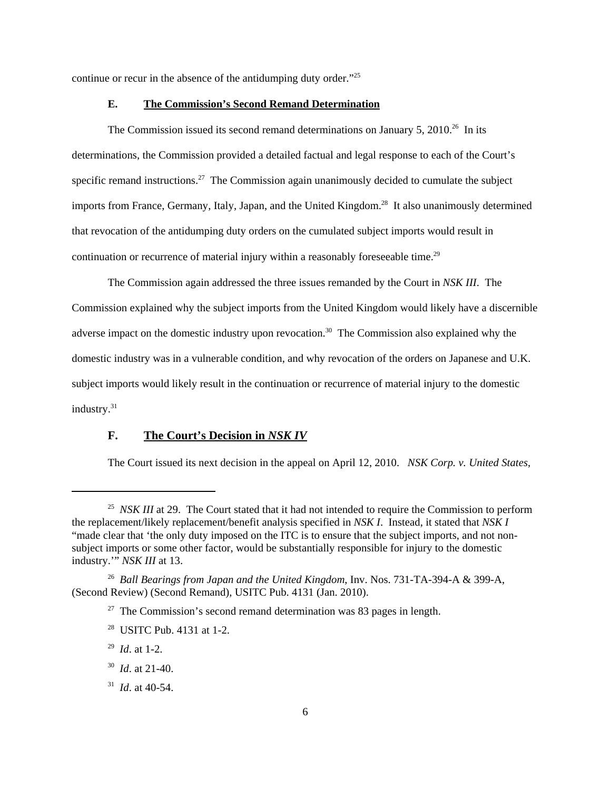continue or recur in the absence of the antidumping duty order."25

#### **E. The Commission's Second Remand Determination**

The Commission issued its second remand determinations on January 5, 2010.<sup>26</sup> In its determinations, the Commission provided a detailed factual and legal response to each of the Court's specific remand instructions.<sup>27</sup> The Commission again unanimously decided to cumulate the subject imports from France, Germany, Italy, Japan, and the United Kingdom.<sup>28</sup> It also unanimously determined that revocation of the antidumping duty orders on the cumulated subject imports would result in continuation or recurrence of material injury within a reasonably foreseeable time.<sup>29</sup>

The Commission again addressed the three issues remanded by the Court in *NSK III*. The Commission explained why the subject imports from the United Kingdom would likely have a discernible adverse impact on the domestic industry upon revocation.<sup>30</sup> The Commission also explained why the domestic industry was in a vulnerable condition, and why revocation of the orders on Japanese and U.K. subject imports would likely result in the continuation or recurrence of material injury to the domestic industry.<sup>31</sup>

### **F. The Court's Decision in** *NSK IV*

The Court issued its next decision in the appeal on April 12, 2010. *NSK Corp. v. United States*,

31 *Id*. at 40-54.

<sup>&</sup>lt;sup>25</sup> *NSK III* at 29. The Court stated that it had not intended to require the Commission to perform the replacement/likely replacement/benefit analysis specified in *NSK I*. Instead, it stated that *NSK I* "made clear that 'the only duty imposed on the ITC is to ensure that the subject imports, and not nonsubject imports or some other factor, would be substantially responsible for injury to the domestic industry.'" *NSK III* at 13.

<sup>26</sup> *Ball Bearings from Japan and the United Kingdom*, Inv. Nos. 731-TA-394-A & 399-A, (Second Review) (Second Remand), USITC Pub. 4131 (Jan. 2010).

 $27$  The Commission's second remand determination was 83 pages in length.

<sup>28</sup> USITC Pub. 4131 at 1-2.

<sup>29</sup> *Id*. at 1-2.

<sup>30</sup> *Id*. at 21-40.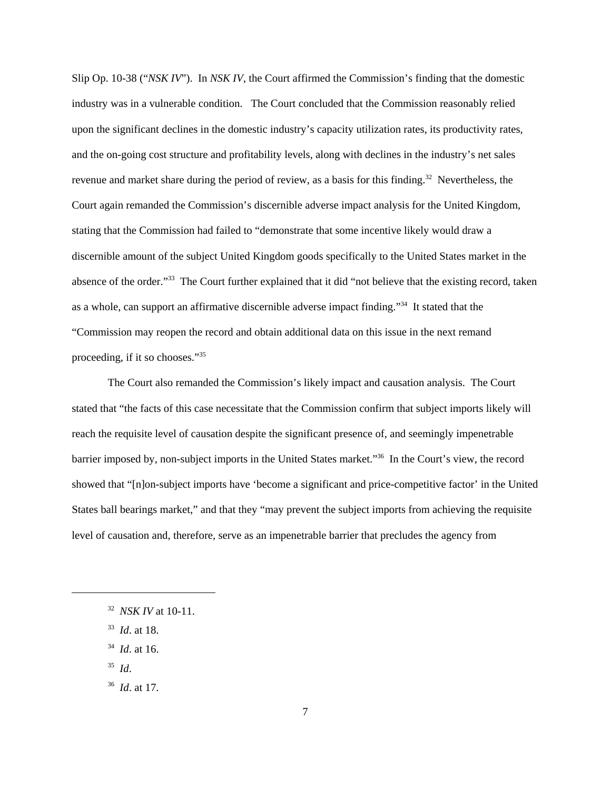Slip Op. 10-38 ("*NSK IV*"). In *NSK IV*, the Court affirmed the Commission's finding that the domestic industry was in a vulnerable condition. The Court concluded that the Commission reasonably relied upon the significant declines in the domestic industry's capacity utilization rates, its productivity rates, and the on-going cost structure and profitability levels, along with declines in the industry's net sales revenue and market share during the period of review, as a basis for this finding.<sup>32</sup> Nevertheless, the Court again remanded the Commission's discernible adverse impact analysis for the United Kingdom, stating that the Commission had failed to "demonstrate that some incentive likely would draw a discernible amount of the subject United Kingdom goods specifically to the United States market in the absence of the order."33 The Court further explained that it did "not believe that the existing record, taken as a whole, can support an affirmative discernible adverse impact finding."34 It stated that the "Commission may reopen the record and obtain additional data on this issue in the next remand proceeding, if it so chooses."35

The Court also remanded the Commission's likely impact and causation analysis. The Court stated that "the facts of this case necessitate that the Commission confirm that subject imports likely will reach the requisite level of causation despite the significant presence of, and seemingly impenetrable barrier imposed by, non-subject imports in the United States market."36 In the Court's view, the record showed that "[n]on-subject imports have 'become a significant and price-competitive factor' in the United States ball bearings market," and that they "may prevent the subject imports from achieving the requisite level of causation and, therefore, serve as an impenetrable barrier that precludes the agency from

- 33 *Id*. at 18.
- 34 *Id*. at 16.
- 35 *Id*.
- 36 *Id*. at 17.

<sup>32</sup> *NSK IV* at 10-11.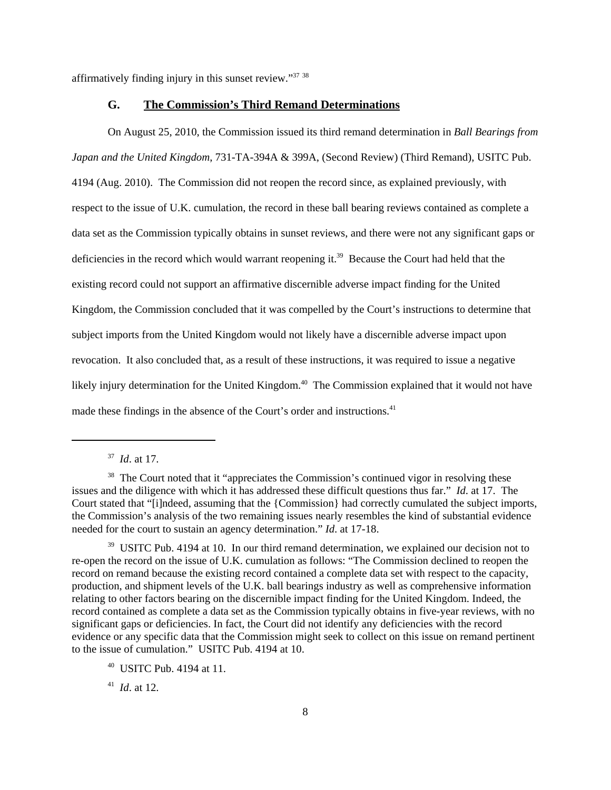affirmatively finding injury in this sunset review."37 <sup>38</sup>

#### **G. The Commission's Third Remand Determinations**

On August 25, 2010, the Commission issued its third remand determination in *Ball Bearings from Japan and the United Kingdom*, 731-TA-394A & 399A, (Second Review) (Third Remand), USITC Pub. 4194 (Aug. 2010). The Commission did not reopen the record since, as explained previously, with respect to the issue of U.K. cumulation, the record in these ball bearing reviews contained as complete a data set as the Commission typically obtains in sunset reviews, and there were not any significant gaps or deficiencies in the record which would warrant reopening it.<sup>39</sup> Because the Court had held that the existing record could not support an affirmative discernible adverse impact finding for the United Kingdom, the Commission concluded that it was compelled by the Court's instructions to determine that subject imports from the United Kingdom would not likely have a discernible adverse impact upon revocation. It also concluded that, as a result of these instructions, it was required to issue a negative likely injury determination for the United Kingdom.<sup>40</sup> The Commission explained that it would not have made these findings in the absence of the Court's order and instructions.<sup>41</sup>

37 *Id*. at 17.

41 *Id*. at 12.

<sup>&</sup>lt;sup>38</sup> The Court noted that it "appreciates the Commission's continued vigor in resolving these issues and the diligence with which it has addressed these difficult questions thus far." *Id*. at 17. The Court stated that "[i]ndeed, assuming that the {Commission} had correctly cumulated the subject imports, the Commission's analysis of the two remaining issues nearly resembles the kind of substantial evidence needed for the court to sustain an agency determination." *Id*. at 17-18.

<sup>&</sup>lt;sup>39</sup> USITC Pub. 4194 at 10. In our third remand determination, we explained our decision not to re-open the record on the issue of U.K. cumulation as follows: "The Commission declined to reopen the record on remand because the existing record contained a complete data set with respect to the capacity, production, and shipment levels of the U.K. ball bearings industry as well as comprehensive information relating to other factors bearing on the discernible impact finding for the United Kingdom. Indeed, the record contained as complete a data set as the Commission typically obtains in five-year reviews, with no significant gaps or deficiencies. In fact, the Court did not identify any deficiencies with the record evidence or any specific data that the Commission might seek to collect on this issue on remand pertinent to the issue of cumulation." USITC Pub. 4194 at 10.

 $40$  USITC Pub. 4194 at 11.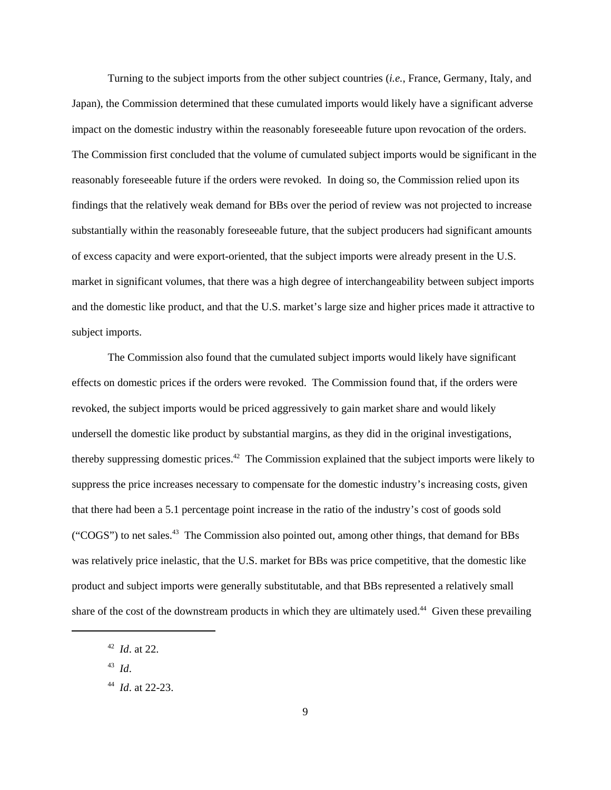Turning to the subject imports from the other subject countries (*i.e.*, France, Germany, Italy, and Japan), the Commission determined that these cumulated imports would likely have a significant adverse impact on the domestic industry within the reasonably foreseeable future upon revocation of the orders. The Commission first concluded that the volume of cumulated subject imports would be significant in the reasonably foreseeable future if the orders were revoked. In doing so, the Commission relied upon its findings that the relatively weak demand for BBs over the period of review was not projected to increase substantially within the reasonably foreseeable future, that the subject producers had significant amounts of excess capacity and were export-oriented, that the subject imports were already present in the U.S. market in significant volumes, that there was a high degree of interchangeability between subject imports and the domestic like product, and that the U.S. market's large size and higher prices made it attractive to subject imports.

The Commission also found that the cumulated subject imports would likely have significant effects on domestic prices if the orders were revoked. The Commission found that, if the orders were revoked, the subject imports would be priced aggressively to gain market share and would likely undersell the domestic like product by substantial margins, as they did in the original investigations, thereby suppressing domestic prices.<sup>42</sup> The Commission explained that the subject imports were likely to suppress the price increases necessary to compensate for the domestic industry's increasing costs, given that there had been a 5.1 percentage point increase in the ratio of the industry's cost of goods sold ("COGS") to net sales.<sup>43</sup> The Commission also pointed out, among other things, that demand for BBs was relatively price inelastic, that the U.S. market for BBs was price competitive, that the domestic like product and subject imports were generally substitutable, and that BBs represented a relatively small share of the cost of the downstream products in which they are ultimately used.<sup>44</sup> Given these prevailing

<sup>42</sup> *Id*. at 22.

<sup>43</sup> *Id*.

<sup>44</sup> *Id*. at 22-23.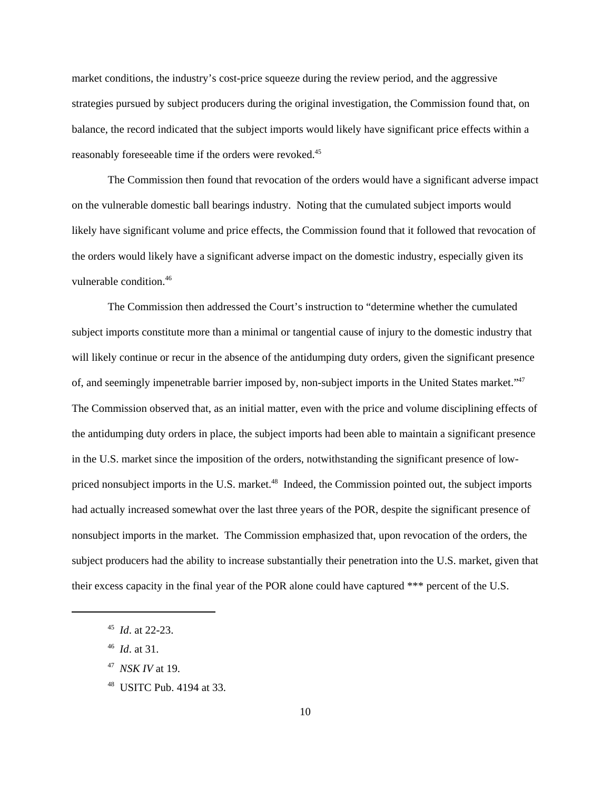market conditions, the industry's cost-price squeeze during the review period, and the aggressive strategies pursued by subject producers during the original investigation, the Commission found that, on balance, the record indicated that the subject imports would likely have significant price effects within a reasonably foreseeable time if the orders were revoked.45

The Commission then found that revocation of the orders would have a significant adverse impact on the vulnerable domestic ball bearings industry. Noting that the cumulated subject imports would likely have significant volume and price effects, the Commission found that it followed that revocation of the orders would likely have a significant adverse impact on the domestic industry, especially given its vulnerable condition.46

The Commission then addressed the Court's instruction to "determine whether the cumulated subject imports constitute more than a minimal or tangential cause of injury to the domestic industry that will likely continue or recur in the absence of the antidumping duty orders, given the significant presence of, and seemingly impenetrable barrier imposed by, non-subject imports in the United States market."47 The Commission observed that, as an initial matter, even with the price and volume disciplining effects of the antidumping duty orders in place, the subject imports had been able to maintain a significant presence in the U.S. market since the imposition of the orders, notwithstanding the significant presence of lowpriced nonsubject imports in the U.S. market.<sup>48</sup> Indeed, the Commission pointed out, the subject imports had actually increased somewhat over the last three years of the POR, despite the significant presence of nonsubject imports in the market. The Commission emphasized that, upon revocation of the orders, the subject producers had the ability to increase substantially their penetration into the U.S. market, given that their excess capacity in the final year of the POR alone could have captured \*\*\* percent of the U.S.

46 *Id*. at 31.

<sup>45</sup> *Id*. at 22-23.

<sup>47</sup> *NSK IV* at 19.

<sup>48</sup> USITC Pub. 4194 at 33.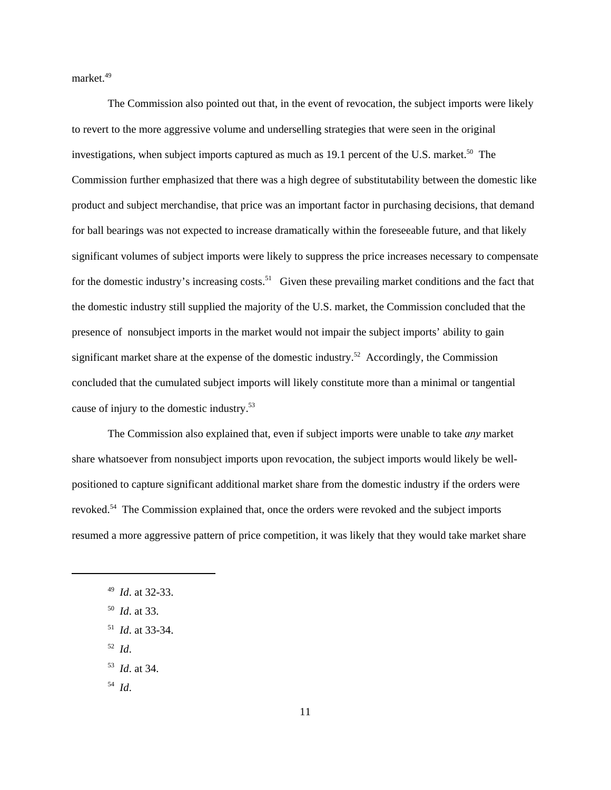market.<sup>49</sup>

The Commission also pointed out that, in the event of revocation, the subject imports were likely to revert to the more aggressive volume and underselling strategies that were seen in the original investigations, when subject imports captured as much as  $19.1$  percent of the U.S. market.<sup>50</sup> The Commission further emphasized that there was a high degree of substitutability between the domestic like product and subject merchandise, that price was an important factor in purchasing decisions, that demand for ball bearings was not expected to increase dramatically within the foreseeable future, and that likely significant volumes of subject imports were likely to suppress the price increases necessary to compensate for the domestic industry's increasing costs.<sup>51</sup> Given these prevailing market conditions and the fact that the domestic industry still supplied the majority of the U.S. market, the Commission concluded that the presence of nonsubject imports in the market would not impair the subject imports' ability to gain significant market share at the expense of the domestic industry.<sup>52</sup> Accordingly, the Commission concluded that the cumulated subject imports will likely constitute more than a minimal or tangential cause of injury to the domestic industry.53

The Commission also explained that, even if subject imports were unable to take *any* market share whatsoever from nonsubject imports upon revocation, the subject imports would likely be wellpositioned to capture significant additional market share from the domestic industry if the orders were revoked.<sup>54</sup> The Commission explained that, once the orders were revoked and the subject imports resumed a more aggressive pattern of price competition, it was likely that they would take market share

- 50 *Id*. at 33.
- 51 *Id*. at 33-34.
- 52 *Id*.
- 53 *Id*. at 34.
- 54 *Id*.

<sup>49</sup> *Id*. at 32-33.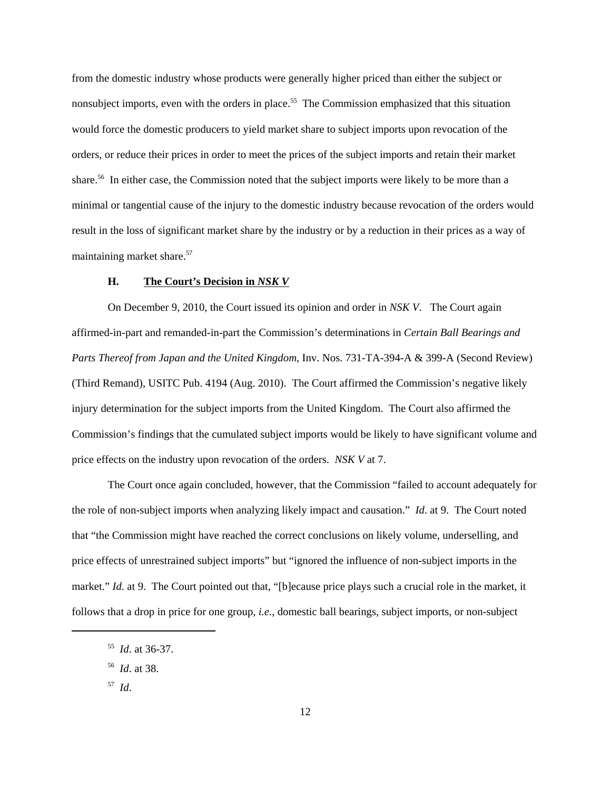from the domestic industry whose products were generally higher priced than either the subject or nonsubject imports, even with the orders in place.<sup>55</sup> The Commission emphasized that this situation would force the domestic producers to yield market share to subject imports upon revocation of the orders, or reduce their prices in order to meet the prices of the subject imports and retain their market share.<sup>56</sup> In either case, the Commission noted that the subject imports were likely to be more than a minimal or tangential cause of the injury to the domestic industry because revocation of the orders would result in the loss of significant market share by the industry or by a reduction in their prices as a way of maintaining market share.<sup>57</sup>

#### **H. The Court's Decision in** *NSK V*

On December 9, 2010, the Court issued its opinion and order in *NSK V*. The Court again affirmed-in-part and remanded-in-part the Commission's determinations in *Certain Ball Bearings and Parts Thereof from Japan and the United Kingdom*, Inv. Nos. 731-TA-394-A & 399-A (Second Review) (Third Remand), USITC Pub. 4194 (Aug. 2010). The Court affirmed the Commission's negative likely injury determination for the subject imports from the United Kingdom. The Court also affirmed the Commission's findings that the cumulated subject imports would be likely to have significant volume and price effects on the industry upon revocation of the orders. *NSK V* at 7.

The Court once again concluded, however, that the Commission "failed to account adequately for the role of non-subject imports when analyzing likely impact and causation." *Id*. at 9. The Court noted that "the Commission might have reached the correct conclusions on likely volume, underselling, and price effects of unrestrained subject imports" but "ignored the influence of non-subject imports in the market." *Id.* at 9. The Court pointed out that, "[b]ecause price plays such a crucial role in the market, it follows that a drop in price for one group, *i.e.*, domestic ball bearings, subject imports, or non-subject

57 *Id*.

<sup>55</sup> *Id*. at 36-37.

<sup>56</sup> *Id*. at 38.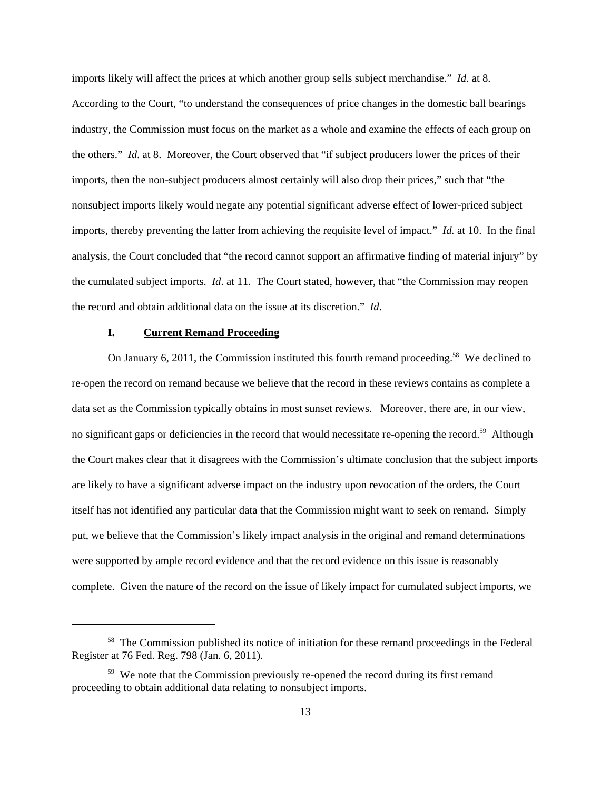imports likely will affect the prices at which another group sells subject merchandise." *Id*. at 8. According to the Court, "to understand the consequences of price changes in the domestic ball bearings industry, the Commission must focus on the market as a whole and examine the effects of each group on the others." *Id*. at 8. Moreover, the Court observed that "if subject producers lower the prices of their imports, then the non-subject producers almost certainly will also drop their prices," such that "the nonsubject imports likely would negate any potential significant adverse effect of lower-priced subject imports, thereby preventing the latter from achieving the requisite level of impact." *Id.* at 10. In the final analysis, the Court concluded that "the record cannot support an affirmative finding of material injury" by the cumulated subject imports. *Id*. at 11. The Court stated, however, that "the Commission may reopen the record and obtain additional data on the issue at its discretion." *Id*.

#### **I. Current Remand Proceeding**

On January 6, 2011, the Commission instituted this fourth remand proceeding.<sup>58</sup> We declined to re-open the record on remand because we believe that the record in these reviews contains as complete a data set as the Commission typically obtains in most sunset reviews. Moreover, there are, in our view, no significant gaps or deficiencies in the record that would necessitate re-opening the record.<sup>59</sup> Although the Court makes clear that it disagrees with the Commission's ultimate conclusion that the subject imports are likely to have a significant adverse impact on the industry upon revocation of the orders, the Court itself has not identified any particular data that the Commission might want to seek on remand. Simply put, we believe that the Commission's likely impact analysis in the original and remand determinations were supported by ample record evidence and that the record evidence on this issue is reasonably complete. Given the nature of the record on the issue of likely impact for cumulated subject imports, we

<sup>&</sup>lt;sup>58</sup> The Commission published its notice of initiation for these remand proceedings in the Federal Register at 76 Fed. Reg. 798 (Jan. 6, 2011).

<sup>&</sup>lt;sup>59</sup> We note that the Commission previously re-opened the record during its first remand proceeding to obtain additional data relating to nonsubject imports.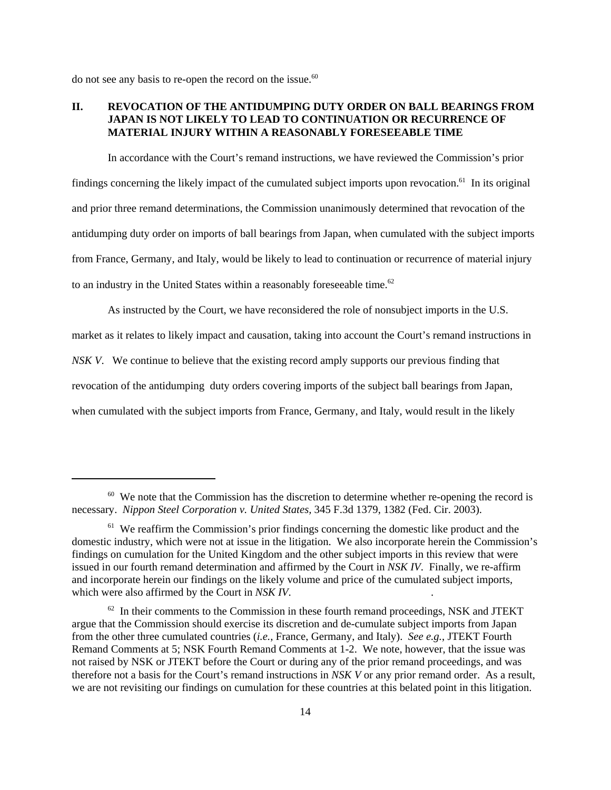do not see any basis to re-open the record on the issue. $60$ 

### **II. REVOCATION OF THE ANTIDUMPING DUTY ORDER ON BALL BEARINGS FROM JAPAN IS NOT LIKELY TO LEAD TO CONTINUATION OR RECURRENCE OF MATERIAL INJURY WITHIN A REASONABLY FORESEEABLE TIME**

In accordance with the Court's remand instructions, we have reviewed the Commission's prior findings concerning the likely impact of the cumulated subject imports upon revocation.<sup>61</sup> In its original and prior three remand determinations, the Commission unanimously determined that revocation of the antidumping duty order on imports of ball bearings from Japan, when cumulated with the subject imports from France, Germany, and Italy, would be likely to lead to continuation or recurrence of material injury to an industry in the United States within a reasonably foreseeable time.<sup>62</sup>

As instructed by the Court, we have reconsidered the role of nonsubject imports in the U.S. market as it relates to likely impact and causation, taking into account the Court's remand instructions in *NSK V*. We continue to believe that the existing record amply supports our previous finding that revocation of the antidumping duty orders covering imports of the subject ball bearings from Japan, when cumulated with the subject imports from France, Germany, and Italy, would result in the likely

 $60\,$  We note that the Commission has the discretion to determine whether re-opening the record is necessary. *Nippon Steel Corporation v. United States,* 345 F.3d 1379, 1382 (Fed. Cir. 2003).

 $61$  We reaffirm the Commission's prior findings concerning the domestic like product and the domestic industry, which were not at issue in the litigation. We also incorporate herein the Commission's findings on cumulation for the United Kingdom and the other subject imports in this review that were issued in our fourth remand determination and affirmed by the Court in *NSK IV*. Finally, we re-affirm and incorporate herein our findings on the likely volume and price of the cumulated subject imports, which were also affirmed by the Court in *NSK IV*. .

 $62$  In their comments to the Commission in these fourth remand proceedings, NSK and JTEKT argue that the Commission should exercise its discretion and de-cumulate subject imports from Japan from the other three cumulated countries (*i.e.*, France, Germany, and Italy). *See e.g.*, JTEKT Fourth Remand Comments at 5; NSK Fourth Remand Comments at 1-2. We note, however, that the issue was not raised by NSK or JTEKT before the Court or during any of the prior remand proceedings, and was therefore not a basis for the Court's remand instructions in *NSK V* or any prior remand order. As a result, we are not revisiting our findings on cumulation for these countries at this belated point in this litigation.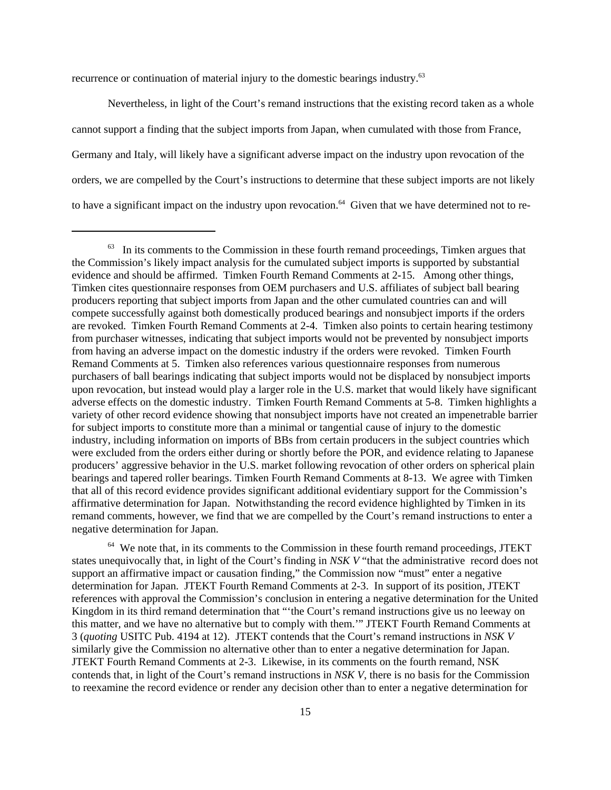recurrence or continuation of material injury to the domestic bearings industry.<sup>63</sup>

Nevertheless, in light of the Court's remand instructions that the existing record taken as a whole cannot support a finding that the subject imports from Japan, when cumulated with those from France, Germany and Italy, will likely have a significant adverse impact on the industry upon revocation of the orders, we are compelled by the Court's instructions to determine that these subject imports are not likely to have a significant impact on the industry upon revocation.<sup>64</sup> Given that we have determined not to re-

<sup>64</sup> We note that, in its comments to the Commission in these fourth remand proceedings, JTEKT states unequivocally that, in light of the Court's finding in *NSK V* "that the administrative record does not support an affirmative impact or causation finding," the Commission now "must" enter a negative determination for Japan. JTEKT Fourth Remand Comments at 2-3. In support of its position, JTEKT references with approval the Commission's conclusion in entering a negative determination for the United Kingdom in its third remand determination that "'the Court's remand instructions give us no leeway on this matter, and we have no alternative but to comply with them.'" JTEKT Fourth Remand Comments at 3 (*quoting* USITC Pub. 4194 at 12). JTEKT contends that the Court's remand instructions in *NSK V* similarly give the Commission no alternative other than to enter a negative determination for Japan. JTEKT Fourth Remand Comments at 2-3. Likewise, in its comments on the fourth remand, NSK contends that, in light of the Court's remand instructions in *NSK V*, there is no basis for the Commission to reexamine the record evidence or render any decision other than to enter a negative determination for

<sup>&</sup>lt;sup>63</sup> In its comments to the Commission in these fourth remand proceedings, Timken argues that the Commission's likely impact analysis for the cumulated subject imports is supported by substantial evidence and should be affirmed. Timken Fourth Remand Comments at 2-15. Among other things, Timken cites questionnaire responses from OEM purchasers and U.S. affiliates of subject ball bearing producers reporting that subject imports from Japan and the other cumulated countries can and will compete successfully against both domestically produced bearings and nonsubject imports if the orders are revoked. Timken Fourth Remand Comments at 2-4. Timken also points to certain hearing testimony from purchaser witnesses, indicating that subject imports would not be prevented by nonsubject imports from having an adverse impact on the domestic industry if the orders were revoked. Timken Fourth Remand Comments at 5. Timken also references various questionnaire responses from numerous purchasers of ball bearings indicating that subject imports would not be displaced by nonsubject imports upon revocation, but instead would play a larger role in the U.S. market that would likely have significant adverse effects on the domestic industry. Timken Fourth Remand Comments at 5-8. Timken highlights a variety of other record evidence showing that nonsubject imports have not created an impenetrable barrier for subject imports to constitute more than a minimal or tangential cause of injury to the domestic industry, including information on imports of BBs from certain producers in the subject countries which were excluded from the orders either during or shortly before the POR, and evidence relating to Japanese producers' aggressive behavior in the U.S. market following revocation of other orders on spherical plain bearings and tapered roller bearings. Timken Fourth Remand Comments at 8-13. We agree with Timken that all of this record evidence provides significant additional evidentiary support for the Commission's affirmative determination for Japan. Notwithstanding the record evidence highlighted by Timken in its remand comments, however, we find that we are compelled by the Court's remand instructions to enter a negative determination for Japan.